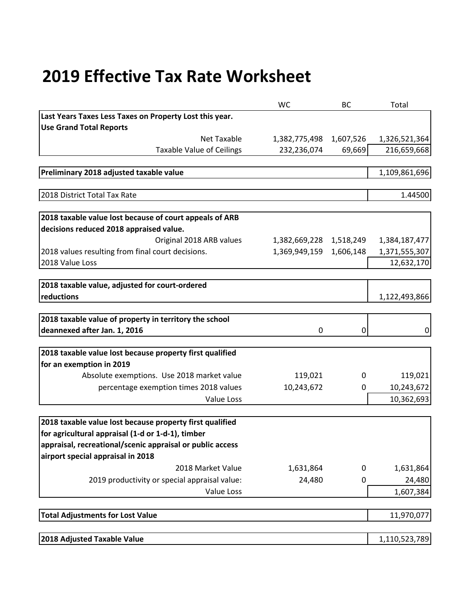## **2019 Effective Tax Rate Worksheet**

|                                                           | <b>WC</b>     | BC        | Total         |
|-----------------------------------------------------------|---------------|-----------|---------------|
| Last Years Taxes Less Taxes on Property Lost this year.   |               |           |               |
| <b>Use Grand Total Reports</b>                            |               |           |               |
| Net Taxable                                               | 1,382,775,498 | 1,607,526 | 1,326,521,364 |
| <b>Taxable Value of Ceilings</b>                          | 232,236,074   | 69,669    | 216,659,668   |
|                                                           |               |           |               |
| Preliminary 2018 adjusted taxable value                   |               |           | 1,109,861,696 |
|                                                           |               |           |               |
| 2018 District Total Tax Rate                              |               |           | 1.44500       |
| 2018 taxable value lost because of court appeals of ARB   |               |           |               |
| decisions reduced 2018 appraised value.                   |               |           |               |
| Original 2018 ARB values                                  | 1,382,669,228 | 1,518,249 | 1,384,187,477 |
| 2018 values resulting from final court decisions.         | 1,369,949,159 | 1,606,148 | 1,371,555,307 |
| 2018 Value Loss                                           |               |           | 12,632,170    |
|                                                           |               |           |               |
| 2018 taxable value, adjusted for court-ordered            |               |           |               |
| reductions                                                |               |           | 1,122,493,866 |
| 2018 taxable value of property in territory the school    |               |           |               |
| deannexed after Jan. 1, 2016                              | 0             | 0         | 0             |
|                                                           |               |           |               |
| 2018 taxable value lost because property first qualified  |               |           |               |
| for an exemption in 2019                                  |               |           |               |
| Absolute exemptions. Use 2018 market value                | 119,021       | 0         | 119,021       |
| percentage exemption times 2018 values                    | 10,243,672    | 0         | 10,243,672    |
| Value Loss                                                |               |           | 10,362,693    |
|                                                           |               |           |               |
| 2018 taxable value lost because property first qualified  |               |           |               |
| for agricultural appraisal (1-d or 1-d-1), timber         |               |           |               |
| appraisal, recreational/scenic appraisal or public access |               |           |               |
| airport special appraisal in 2018                         |               |           |               |
| 2018 Market Value                                         | 1,631,864     | 0         | 1,631,864     |
| 2019 productivity or special appraisal value:             | 24,480        | 0         | 24,480        |
| Value Loss                                                |               |           | 1,607,384     |
| <b>Total Adjustments for Lost Value</b>                   |               |           | 11,970,077    |
|                                                           |               |           |               |
| 2018 Adjusted Taxable Value                               |               |           | 1,110,523,789 |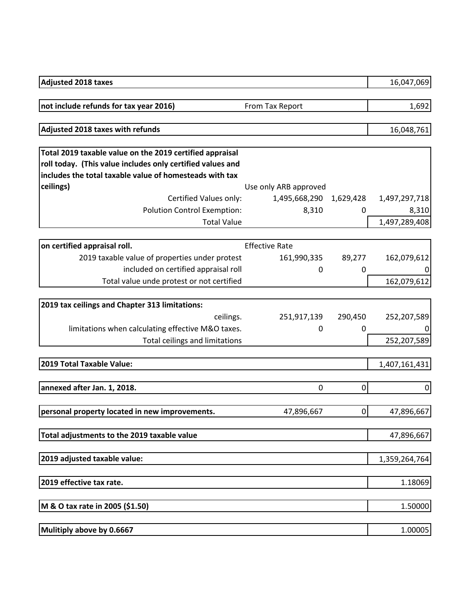| <b>Adjusted 2018 taxes</b>                                 |                       |                | 16,047,069     |
|------------------------------------------------------------|-----------------------|----------------|----------------|
| not include refunds for tax year 2016)                     | From Tax Report       |                | 1,692          |
|                                                            |                       |                |                |
| Adjusted 2018 taxes with refunds                           |                       |                | 16,048,761     |
| Total 2019 taxable value on the 2019 certified appraisal   |                       |                |                |
| roll today. (This value includes only certified values and |                       |                |                |
| includes the total taxable value of homesteads with tax    |                       |                |                |
| ceilings)                                                  | Use only ARB approved |                |                |
| Certified Values only:                                     | 1,495,668,290         | 1,629,428      | 1,497,297,718  |
| <b>Polution Control Exemption:</b>                         | 8,310                 | 0              | 8,310          |
| <b>Total Value</b>                                         |                       |                | 1,497,289,408  |
|                                                            |                       |                |                |
| on certified appraisal roll.                               | <b>Effective Rate</b> |                |                |
| 2019 taxable value of properties under protest             | 161,990,335           | 89,277         | 162,079,612    |
| included on certified appraisal roll                       | 0                     | 0              | 0              |
| Total value unde protest or not certified                  |                       |                | 162,079,612    |
|                                                            |                       |                |                |
| 2019 tax ceilings and Chapter 313 limitations:             |                       |                |                |
| ceilings.                                                  | 251,917,139           | 290,450        | 252,207,589    |
| limitations when calculating effective M&O taxes.          | 0                     | $\mathbf{0}$   |                |
| Total ceilings and limitations                             |                       |                | 252,207,589    |
|                                                            |                       |                |                |
| 2019 Total Taxable Value:                                  |                       |                | 1,407,161,431  |
|                                                            |                       |                |                |
| annexed after Jan. 1, 2018.                                | 0                     | $\overline{0}$ | $\overline{0}$ |
|                                                            |                       |                |                |
| personal property located in new improvements.             | 47,896,667            | $\overline{0}$ | 47,896,667     |
| Total adjustments to the 2019 taxable value                |                       |                | 47,896,667     |
|                                                            |                       |                |                |
| 2019 adjusted taxable value:                               |                       |                | 1,359,264,764  |
|                                                            |                       |                |                |
| 2019 effective tax rate.                                   |                       |                | 1.18069        |
|                                                            |                       |                |                |
| M & O tax rate in 2005 (\$1.50)                            |                       |                | 1.50000        |
| Mulitiply above by 0.6667                                  |                       |                | 1.00005        |